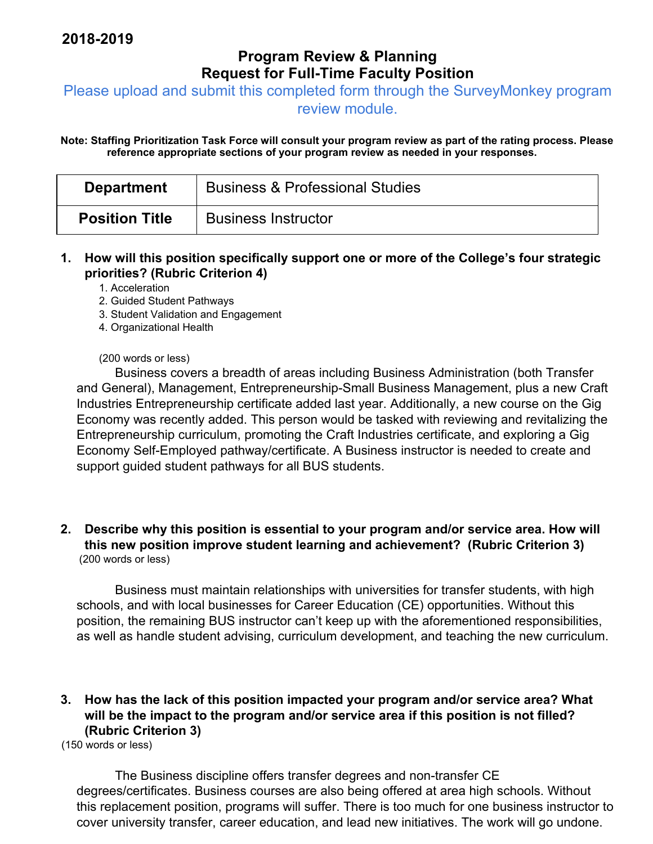# **Program Review & Planning Request for Full-Time Faculty Position**

Please upload and submit this completed form through the SurveyMonkey program

review module.

**Note: Staffing Prioritization Task Force will consult your program review as part of the rating process. Please reference appropriate sections of your program review as needed in your responses.** 

| <b>Department</b>     | <b>Business &amp; Professional Studies</b> |
|-----------------------|--------------------------------------------|
| <b>Position Title</b> | <b>Business Instructor</b>                 |

**1. How will this position specifically support one or more of the College's four strategic priorities? (Rubric Criterion 4)** 

1. Acceleration

- 2. Guided Student Pathways
- 3. Student Validation and Engagement
- 4. Organizational Health

#### (200 words or less)

Business covers a breadth of areas including Business Administration (both Transfer and General), Management, Entrepreneurship-Small Business Management, plus a new Craft Industries Entrepreneurship certificate added last year. Additionally, a new course on the Gig Economy was recently added. This person would be tasked with reviewing and revitalizing the Entrepreneurship curriculum, promoting the Craft Industries certificate, and exploring a Gig Economy Self-Employed pathway/certificate. A Business instructor is needed to create and support guided student pathways for all BUS students.

#### **2. Describe why this position is essential to your program and/or service area. How will this new position improve student learning and achievement? (Rubric Criterion 3)**  (200 words or less)

Business must maintain relationships with universities for transfer students, with high schools, and with local businesses for Career Education (CE) opportunities. Without this position, the remaining BUS instructor can't keep up with the aforementioned responsibilities, as well as handle student advising, curriculum development, and teaching the new curriculum.

### **3. How has the lack of this position impacted your program and/or service area? What will be the impact to the program and/or service area if this position is not filled? (Rubric Criterion 3)**

(150 words or less)

The Business discipline offers transfer degrees and non-transfer CE degrees/certificates. Business courses are also being offered at area high schools. Without this replacement position, programs will suffer. There is too much for one business instructor to cover university transfer, career education, and lead new initiatives. The work will go undone.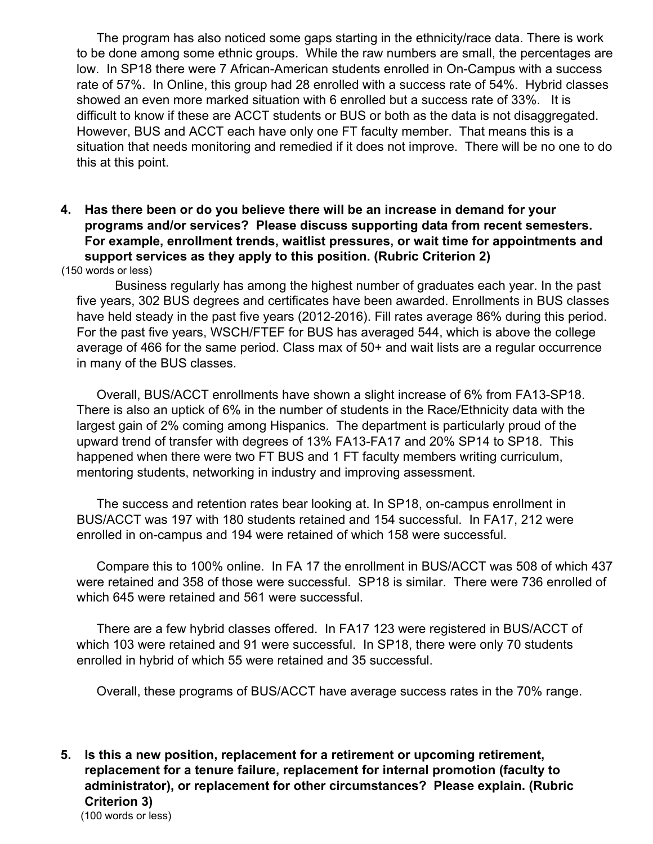The program has also noticed some gaps starting in the ethnicity/race data. There is work to be done among some ethnic groups. While the raw numbers are small, the percentages are low. In SP18 there were 7 African-American students enrolled in On-Campus with a success rate of 57%. In Online, this group had 28 enrolled with a success rate of 54%. Hybrid classes showed an even more marked situation with 6 enrolled but a success rate of 33%. It is difficult to know if these are ACCT students or BUS or both as the data is not disaggregated. However, BUS and ACCT each have only one FT faculty member. That means this is a situation that needs monitoring and remedied if it does not improve. There will be no one to do this at this point.

**4. Has there been or do you believe there will be an increase in demand for your programs and/or services? Please discuss supporting data from recent semesters. For example, enrollment trends, waitlist pressures, or wait time for appointments and support services as they apply to this position. (Rubric Criterion 2)** 

(150 words or less)

Business regularly has among the highest number of graduates each year. In the past five years, 302 BUS degrees and certificates have been awarded. Enrollments in BUS classes have held steady in the past five years (2012-2016). Fill rates average 86% during this period. For the past five years, WSCH/FTEF for BUS has averaged 544, which is above the college average of 466 for the same period. Class max of 50+ and wait lists are a regular occurrence in many of the BUS classes.

Overall, BUS/ACCT enrollments have shown a slight increase of 6% from FA13-SP18. There is also an uptick of 6% in the number of students in the Race/Ethnicity data with the largest gain of 2% coming among Hispanics. The department is particularly proud of the upward trend of transfer with degrees of 13% FA13-FA17 and 20% SP14 to SP18. This happened when there were two FT BUS and 1 FT faculty members writing curriculum, mentoring students, networking in industry and improving assessment.

The success and retention rates bear looking at. In SP18, on-campus enrollment in BUS/ACCT was 197 with 180 students retained and 154 successful. In FA17, 212 were enrolled in on-campus and 194 were retained of which 158 were successful.

Compare this to 100% online. In FA 17 the enrollment in BUS/ACCT was 508 of which 437 were retained and 358 of those were successful. SP18 is similar. There were 736 enrolled of which 645 were retained and 561 were successful.

There are a few hybrid classes offered. In FA17 123 were registered in BUS/ACCT of which 103 were retained and 91 were successful. In SP18, there were only 70 students enrolled in hybrid of which 55 were retained and 35 successful.

Overall, these programs of BUS/ACCT have average success rates in the 70% range.

**5. Is this a new position, replacement for a retirement or upcoming retirement, replacement for a tenure failure, replacement for internal promotion (faculty to administrator), or replacement for other circumstances? Please explain. (Rubric Criterion 3)**  (100 words or less)